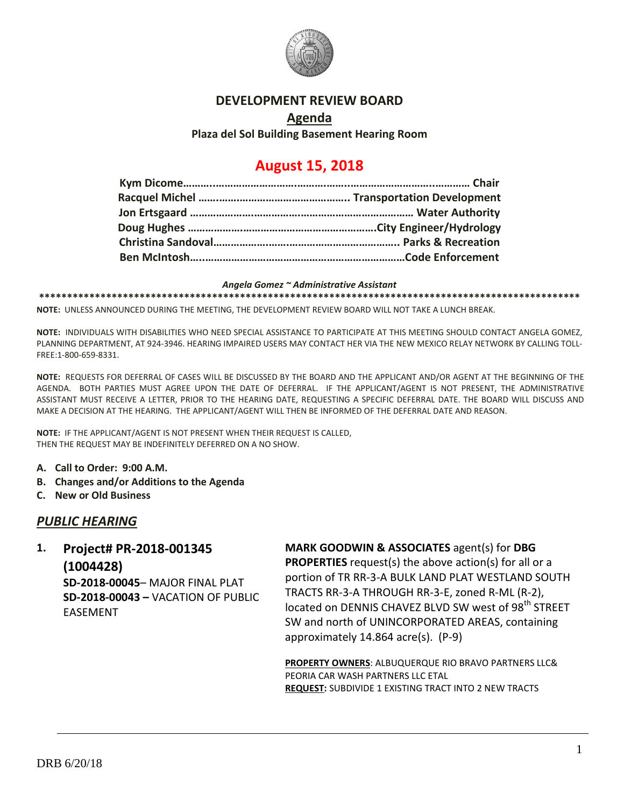

#### **DEVELOPMENT REVIEW BOARD**

#### **Agenda**

**Plaza del Sol Building Basement Hearing Room**

# **August 15, 2018**

#### *Angela Gomez ~ Administrative Assistant*

**\*\*\*\*\*\*\*\*\*\*\*\*\*\*\*\*\*\*\*\*\*\*\*\*\*\*\*\*\*\*\*\*\*\*\*\*\*\*\*\*\*\*\*\*\*\*\*\*\*\*\*\*\*\*\*\*\*\*\*\*\*\*\*\*\*\*\*\*\*\*\*\*\*\*\*\*\*\*\*\*\*\*\*\*\*\*\*\*\*\*\*\*\*\*\*\*\***

**NOTE:** UNLESS ANNOUNCED DURING THE MEETING, THE DEVELOPMENT REVIEW BOARD WILL NOT TAKE A LUNCH BREAK.

**NOTE:** INDIVIDUALS WITH DISABILITIES WHO NEED SPECIAL ASSISTANCE TO PARTICIPATE AT THIS MEETING SHOULD CONTACT ANGELA GOMEZ, PLANNING DEPARTMENT, AT 924-3946. HEARING IMPAIRED USERS MAY CONTACT HER VIA THE NEW MEXICO RELAY NETWORK BY CALLING TOLL-FREE:1-800-659-8331.

**NOTE:** REQUESTS FOR DEFERRAL OF CASES WILL BE DISCUSSED BY THE BOARD AND THE APPLICANT AND/OR AGENT AT THE BEGINNING OF THE AGENDA. BOTH PARTIES MUST AGREE UPON THE DATE OF DEFERRAL. IF THE APPLICANT/AGENT IS NOT PRESENT, THE ADMINISTRATIVE ASSISTANT MUST RECEIVE A LETTER, PRIOR TO THE HEARING DATE, REQUESTING A SPECIFIC DEFERRAL DATE. THE BOARD WILL DISCUSS AND MAKE A DECISION AT THE HEARING. THE APPLICANT/AGENT WILL THEN BE INFORMED OF THE DEFERRAL DATE AND REASON.

**NOTE:** IF THE APPLICANT/AGENT IS NOT PRESENT WHEN THEIR REQUEST IS CALLED, THEN THE REQUEST MAY BE INDEFINITELY DEFERRED ON A NO SHOW.

- **A. Call to Order: 9:00 A.M.**
- **B. Changes and/or Additions to the Agenda**
- **C. New or Old Business**

### *PUBLIC HEARING*

## **1. Project# PR-2018-001345 (1004428)**

**SD-2018-00045**– MAJOR FINAL PLAT **SD-2018-00043 –** VACATION OF PUBLIC EASEMENT

**MARK GOODWIN & ASSOCIATES** agent(s) for **DBG PROPERTIES** request(s) the above action(s) for all or a portion of TR RR-3-A BULK LAND PLAT WESTLAND SOUTH TRACTS RR-3-A THROUGH RR-3-E, zoned R-ML (R-2), located on DENNIS CHAVEZ BLVD SW west of 98<sup>th</sup> STREET SW and north of UNINCORPORATED AREAS, containing approximately 14.864 acre(s). (P-9)

**PROPERTY OWNERS**: ALBUQUERQUE RIO BRAVO PARTNERS LLC& PEORIA CAR WASH PARTNERS LLC ETAL **REQUEST:** SUBDIVIDE 1 EXISTING TRACT INTO 2 NEW TRACTS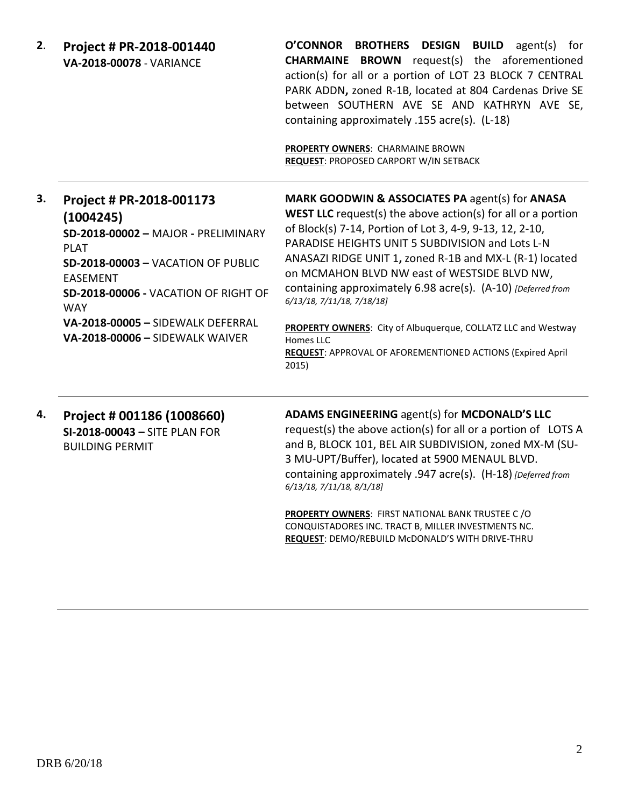| 2. | Project # PR-2018-001440<br><b>VA-2018-00078 - VARIANCE</b>                                                                                                                                                                                                                               | O'CONNOR BROTHERS DESIGN BUILD agent(s) for<br><b>CHARMAINE BROWN</b> request(s) the aforementioned<br>action(s) for all or a portion of LOT 23 BLOCK 7 CENTRAL<br>PARK ADDN, zoned R-1B, located at 804 Cardenas Drive SE<br>between SOUTHERN AVE SE AND KATHRYN AVE SE,<br>containing approximately .155 acre(s). (L-18)<br>PROPERTY OWNERS: CHARMAINE BROWN<br>REQUEST: PROPOSED CARPORT W/IN SETBACK                                                                                                                                                                                                    |
|----|-------------------------------------------------------------------------------------------------------------------------------------------------------------------------------------------------------------------------------------------------------------------------------------------|-------------------------------------------------------------------------------------------------------------------------------------------------------------------------------------------------------------------------------------------------------------------------------------------------------------------------------------------------------------------------------------------------------------------------------------------------------------------------------------------------------------------------------------------------------------------------------------------------------------|
| 3. | Project # PR-2018-001173<br>(1004245)<br>SD-2018-00002 - MAJOR - PRELIMINARY<br><b>PLAT</b><br><b>SD-2018-00003 - VACATION OF PUBLIC</b><br><b>EASEMENT</b><br>SD-2018-00006 - VACATION OF RIGHT OF<br><b>WAY</b><br>VA-2018-00005 - SIDEWALK DEFERRAL<br>VA-2018-00006 - SIDEWALK WAIVER | MARK GOODWIN & ASSOCIATES PA agent(s) for ANASA<br><b>WEST LLC</b> request(s) the above action(s) for all or a portion<br>of Block(s) 7-14, Portion of Lot 3, 4-9, 9-13, 12, 2-10,<br>PARADISE HEIGHTS UNIT 5 SUBDIVISION and Lots L-N<br>ANASAZI RIDGE UNIT 1, zoned R-1B and MX-L (R-1) located<br>on MCMAHON BLVD NW east of WESTSIDE BLVD NW,<br>containing approximately 6.98 acre(s). (A-10) [Deferred from<br>6/13/18, 7/11/18, 7/18/18]<br>PROPERTY OWNERS: City of Albuquerque, COLLATZ LLC and Westway<br>Homes LLC<br><b>REQUEST: APPROVAL OF AFOREMENTIONED ACTIONS (Expired April</b><br>2015) |
| 4. | Project # 001186 (1008660)<br>SI-2018-00043 - SITE PLAN FOR<br><b>BUILDING PERMIT</b>                                                                                                                                                                                                     | ADAMS ENGINEERING agent(s) for MCDONALD'S LLC<br>request(s) the above action(s) for all or a portion of LOTS A<br>and B, BLOCK 101, BEL AIR SUBDIVISION, zoned MX-M (SU-<br>3 MU-UPT/Buffer), located at 5900 MENAUL BLVD.<br>containing approximately .947 acre(s). (H-18) [Deferred from<br>6/13/18, 7/11/18, 8/1/18]<br><b>PROPERTY OWNERS: FIRST NATIONAL BANK TRUSTEE C/O</b><br>CONQUISTADORES INC. TRACT B, MILLER INVESTMENTS NC.<br>REQUEST: DEMO/REBUILD McDONALD'S WITH DRIVE-THRU                                                                                                               |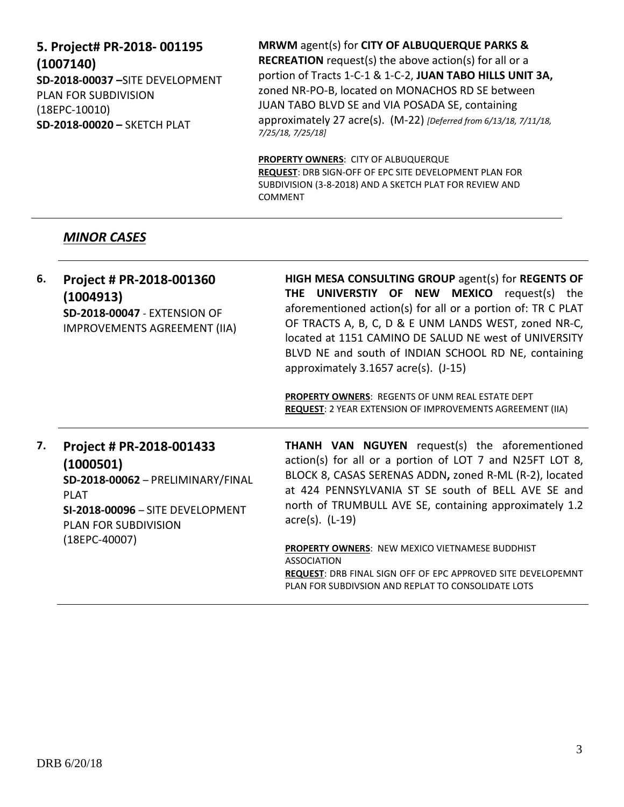# **5. Project# PR-2018- 001195 (1007140) SD-2018-00037 –**SITE DEVELOPMENT PLAN FOR SUBDIVISION (18EPC-10010) **SD-2018-00020 –** SKETCH PLAT

**MRWM** agent(s) for **CITY OF ALBUQUERQUE PARKS & RECREATION** request(s) the above action(s) for all or a portion of Tracts 1-C-1 & 1-C-2, **JUAN TABO HILLS UNIT 3A,**  zoned NR-PO-B, located on MONACHOS RD SE between JUAN TABO BLVD SE and VIA POSADA SE, containing approximately 27 acre(s). (M-22) *[Deferred from 6/13/18, 7/11/18, 7/25/18, 7/25/18]*

**PROPERTY OWNERS**: CITY OF ALBUQUERQUE **REQUEST**: DRB SIGN-OFF OF EPC SITE DEVELOPMENT PLAN FOR SUBDIVISION (3-8-2018) AND A SKETCH PLAT FOR REVIEW AND COMMENT

# *MINOR CASES*

| Project # PR-2018-001360<br>(1004913)<br>SD-2018-00047 - EXTENSION OF<br>IMPROVEMENTS AGREEMENT (IIA)                                                                                  | HIGH MESA CONSULTING GROUP agent(s) for REGENTS OF<br><b>THE UNIVERSTIY OF NEW MEXICO</b> request(s) the<br>aforementioned action(s) for all or a portion of: TR C PLAT<br>OF TRACTS A, B, C, D & E UNM LANDS WEST, zoned NR-C,<br>located at 1151 CAMINO DE SALUD NE west of UNIVERSITY<br>BLVD NE and south of INDIAN SCHOOL RD NE, containing<br>approximately 3.1657 acre(s). (J-15)<br>PROPERTY OWNERS: REGENTS OF UNM REAL ESTATE DEPT<br>REQUEST: 2 YEAR EXTENSION OF IMPROVEMENTS AGREEMENT (IIA) |
|----------------------------------------------------------------------------------------------------------------------------------------------------------------------------------------|-----------------------------------------------------------------------------------------------------------------------------------------------------------------------------------------------------------------------------------------------------------------------------------------------------------------------------------------------------------------------------------------------------------------------------------------------------------------------------------------------------------|
| Project # PR-2018-001433<br>(1000501)<br>SD-2018-00062 - PRELIMINARY/FINAL<br><b>PLAT</b><br><b>SI-2018-00096 - SITE DEVELOPMENT</b><br><b>PLAN FOR SUBDIVISION</b><br>$(18EPC-40007)$ | <b>THANH VAN NGUYEN</b> request(s) the aforementioned<br>action(s) for all or a portion of LOT 7 and N25FT LOT 8,<br>BLOCK 8, CASAS SERENAS ADDN, zoned R-ML (R-2), located<br>at 424 PENNSYLVANIA ST SE south of BELL AVE SE and<br>north of TRUMBULL AVE SE, containing approximately 1.2<br>$\arccos 0$ . (L-19)<br><b>PROPERTY OWNERS: NEW MEXICO VIETNAMESE BUDDHIST</b><br><b>ASSOCIATION</b><br>REQUEST: DRB FINAL SIGN OFF OF EPC APPROVED SITE DEVELOPEMNT                                       |
|                                                                                                                                                                                        |                                                                                                                                                                                                                                                                                                                                                                                                                                                                                                           |